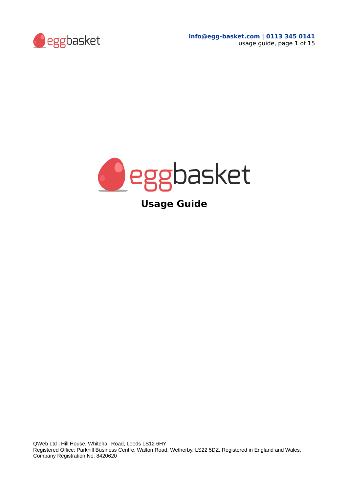



**Usage Guide**

QWeb Ltd | Hill House, Whitehall Road, Leeds LS12 6HY Registered Office: Parkhill Business Centre, Walton Road, Wetherby, LS22 5DZ. Registered in England and Wales. Company Registration No. 8420620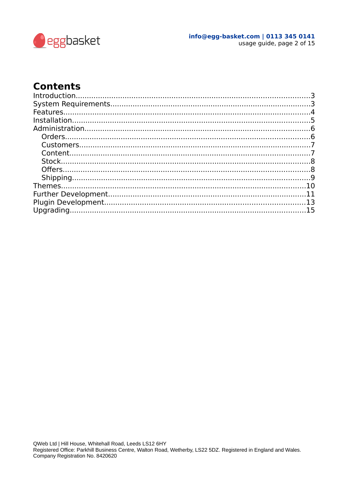

#### info@egg-basket.com | 0113 345 0141 usage guide, page 2 of 15

### **Contents**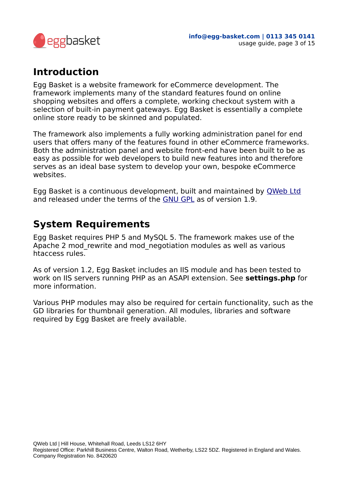

### <span id="page-2-0"></span>**Introduction**

Egg Basket is a website framework for eCommerce development. The framework implements many of the standard features found on online shopping websites and offers a complete, working checkout system with a selection of built-in payment gateways. Egg Basket is essentially a complete online store ready to be skinned and populated.

The framework also implements a fully working administration panel for end users that offers many of the features found in other eCommerce frameworks. Both the administration panel and website front-end have been built to be as easy as possible for web developers to build new features into and therefore serves as an ideal base system to develop your own, bespoke eCommerce websites.

Egg Basket is a continuous development, built and maintained by [QWeb Ltd](http://www.qweb.co.uk/) and released under the terms of the [GNU GPL](https://www.gnu.org/licenses/gpl-3.0-standalone.html) as of version 1.9.

### <span id="page-2-1"></span>**System Requirements**

Egg Basket requires PHP 5 and MySQL 5. The framework makes use of the Apache 2 mod rewrite and mod negotiation modules as well as various htaccess rules.

As of version 1.2, Egg Basket includes an IIS module and has been tested to work on IIS servers running PHP as an ASAPI extension. See **settings.php** for more information.

Various PHP modules may also be required for certain functionality, such as the GD libraries for thumbnail generation. All modules, libraries and software required by Egg Basket are freely available.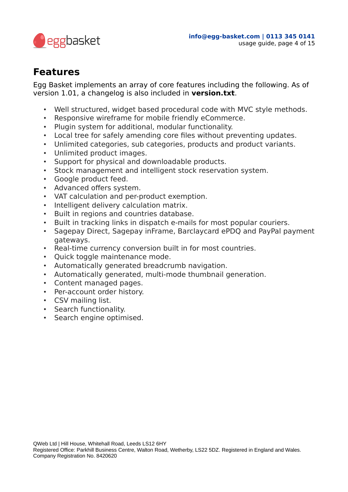

### <span id="page-3-0"></span>**Features**

Egg Basket implements an array of core features including the following. As of version 1.01, a changelog is also included in **version.txt**.

- Well structured, widget based procedural code with MVC style methods.
- Responsive wireframe for mobile friendly eCommerce.
- Plugin system for additional, modular functionality.
- Local tree for safely amending core files without preventing updates.
- Unlimited categories, sub categories, products and product variants.
- Unlimited product images.
- Support for physical and downloadable products.
- Stock management and intelligent stock reservation system.
- Google product feed.
- Advanced offers system.
- VAT calculation and per-product exemption.
- Intelligent delivery calculation matrix.
- Built in regions and countries database.
- Built in tracking links in dispatch e-mails for most popular couriers.
- Sagepay Direct, Sagepay inFrame, Barclaycard ePDQ and PayPal payment gateways.
- Real-time currency conversion built in for most countries.
- Quick toggle maintenance mode.
- Automatically generated breadcrumb navigation.
- Automatically generated, multi-mode thumbnail generation.
- Content managed pages.
- Per-account order history.
- CSV mailing list.
- Search functionality.
- Search engine optimised.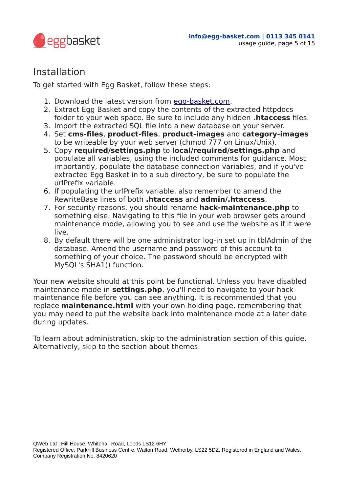

### <span id="page-4-0"></span>Installation

To get started with Egg Basket, follow these steps:

- 1. Download the latest version from [egg-basket.com.](http://www.egg-basket.com/)
- 2. Extract Egg Basket and copy the contents of the extracted httpdocs folder to your web space. Be sure to include any hidden **.htaccess** files.
- 3. Import the extracted SQL file into a new database on your server.
- 4. Set **cms-files**, **product-files**, **product-images** and **category-images** to be writeable by your web server (chmod 777 on Linux/Unix).
- 5. Copy **required/settings.php** to **local/required/settings.php** and populate all variables, using the included comments for guidance. Most importantly, populate the database connection variables, and if you've extracted Egg Basket in to a sub directory, be sure to populate the urlPrefix variable.
- 6. If populating the urlPrefix variable, also remember to amend the RewriteBase lines of both **.htaccess** and **admin/.htaccess**.
- 7. For security reasons, you should rename **hack-maintenance.php** to something else. Navigating to this file in your web browser gets around maintenance mode, allowing you to see and use the website as if it were live.
- 8. By default there will be one administrator log-in set up in tblAdmin of the database. Amend the username and password of this account to something of your choice. The password should be encrypted with MySQL's SHA1() function.

Your new website should at this point be functional. Unless you have disabled maintenance mode in **settings.php**, you'll need to navigate to your hackmaintenance file before you can see anything. It is recommended that you replace **maintenance.html** with your own holding page, remembering that you may need to put the website back into maintenance mode at a later date during updates.

To learn about administration, skip to the administration section of this guide. Alternatively, skip to the section about themes.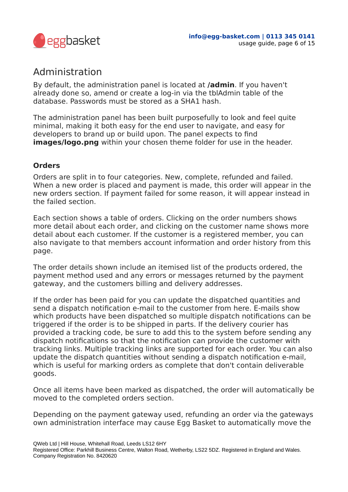

## <span id="page-5-0"></span>Administration

By default, the administration panel is located at **/admin**. If you haven't already done so, amend or create a log-in via the tblAdmin table of the database. Passwords must be stored as a SHA1 hash.

The administration panel has been built purposefully to look and feel quite minimal, making it both easy for the end user to navigate, and easy for developers to brand up or build upon. The panel expects to find **images/logo.png** within your chosen theme folder for use in the header.

### <span id="page-5-1"></span>**Orders**

Orders are split in to four categories. New, complete, refunded and failed. When a new order is placed and payment is made, this order will appear in the new orders section. If payment failed for some reason, it will appear instead in the failed section.

Each section shows a table of orders. Clicking on the order numbers shows more detail about each order, and clicking on the customer name shows more detail about each customer. If the customer is a registered member, you can also navigate to that members account information and order history from this page.

The order details shown include an itemised list of the products ordered, the payment method used and any errors or messages returned by the payment gateway, and the customers billing and delivery addresses.

If the order has been paid for you can update the dispatched quantities and send a dispatch notification e-mail to the customer from here. E-mails show which products have been dispatched so multiple dispatch notifications can be triggered if the order is to be shipped in parts. If the delivery courier has provided a tracking code, be sure to add this to the system before sending any dispatch notifications so that the notification can provide the customer with tracking links. Multiple tracking links are supported for each order. You can also update the dispatch quantities without sending a dispatch notification e-mail, which is useful for marking orders as complete that don't contain deliverable goods.

Once all items have been marked as dispatched, the order will automatically be moved to the completed orders section.

Depending on the payment gateway used, refunding an order via the gateways own administration interface may cause Egg Basket to automatically move the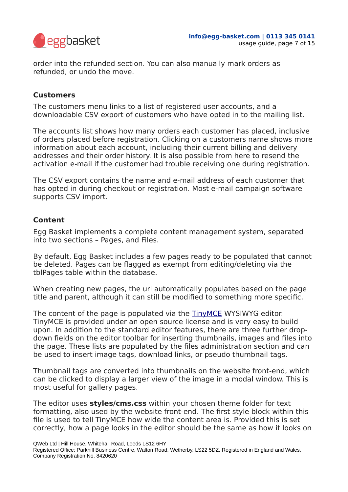

order into the refunded section. You can also manually mark orders as refunded, or undo the move.

#### <span id="page-6-0"></span>**Customers**

The customers menu links to a list of registered user accounts, and a downloadable CSV export of customers who have opted in to the mailing list.

The accounts list shows how many orders each customer has placed, inclusive of orders placed before registration. Clicking on a customers name shows more information about each account, including their current billing and delivery addresses and their order history. It is also possible from here to resend the activation e-mail if the customer had trouble receiving one during registration.

The CSV export contains the name and e-mail address of each customer that has opted in during checkout or registration. Most e-mail campaign software supports CSV import.

#### <span id="page-6-1"></span>**Content**

Egg Basket implements a complete content management system, separated into two sections – Pages, and Files.

By default, Egg Basket includes a few pages ready to be populated that cannot be deleted. Pages can be flagged as exempt from editing/deleting via the tblPages table within the database.

When creating new pages, the url automatically populates based on the page title and parent, although it can still be modified to something more specific.

The content of the page is populated via the [TinyMCE](http://www.tinymce.com/) WYSIWYG editor. TinyMCE is provided under an open source license and is very easy to build upon. In addition to the standard editor features, there are three further dropdown fields on the editor toolbar for inserting thumbnails, images and files into the page. These lists are populated by the files administration section and can be used to insert image tags, download links, or pseudo thumbnail tags.

Thumbnail tags are converted into thumbnails on the website front-end, which can be clicked to display a larger view of the image in a modal window. This is most useful for gallery pages.

The editor uses **styles/cms.css** within your chosen theme folder for text formatting, also used by the website front-end. The first style block within this file is used to tell TinyMCE how wide the content area is. Provided this is set correctly, how a page looks in the editor should be the same as how it looks on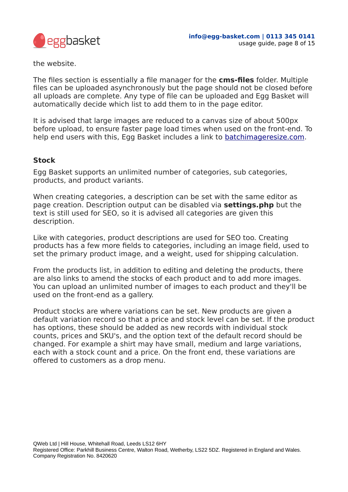

the website.

The files section is essentially a file manager for the **cms-files** folder. Multiple files can be uploaded asynchronously but the page should not be closed before all uploads are complete. Any type of file can be uploaded and Egg Basket will automatically decide which list to add them to in the page editor.

It is advised that large images are reduced to a canvas size of about 500px before upload, to ensure faster page load times when used on the front-end. To help end users with this, Egg Basket includes a link to [batchimageresize.com.](http://www.batchimageresize.com/)

#### <span id="page-7-0"></span>**Stock**

Egg Basket supports an unlimited number of categories, sub categories, products, and product variants.

When creating categories, a description can be set with the same editor as page creation. Description output can be disabled via **settings.php** but the text is still used for SEO, so it is advised all categories are given this description.

Like with categories, product descriptions are used for SEO too. Creating products has a few more fields to categories, including an image field, used to set the primary product image, and a weight, used for shipping calculation.

From the products list, in addition to editing and deleting the products, there are also links to amend the stocks of each product and to add more images. You can upload an unlimited number of images to each product and they'll be used on the front-end as a gallery.

Product stocks are where variations can be set. New products are given a default variation record so that a price and stock level can be set. If the product has options, these should be added as new records with individual stock counts, prices and SKU's, and the option text of the default record should be changed. For example a shirt may have small, medium and large variations, each with a stock count and a price. On the front end, these variations are offered to customers as a drop menu.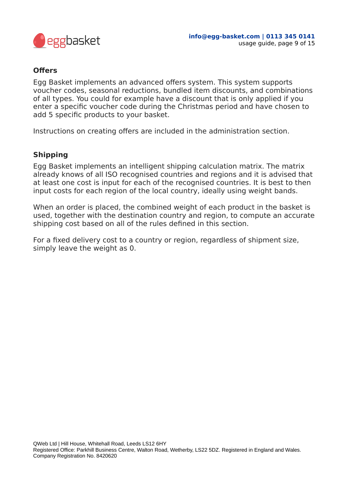

#### <span id="page-8-0"></span>**Offers**

Egg Basket implements an advanced offers system. This system supports voucher codes, seasonal reductions, bundled item discounts, and combinations of all types. You could for example have a discount that is only applied if you enter a specific voucher code during the Christmas period and have chosen to add 5 specific products to your basket.

Instructions on creating offers are included in the administration section.

#### <span id="page-8-1"></span>**Shipping**

Egg Basket implements an intelligent shipping calculation matrix. The matrix already knows of all ISO recognised countries and regions and it is advised that at least one cost is input for each of the recognised countries. It is best to then input costs for each region of the local country, ideally using weight bands.

When an order is placed, the combined weight of each product in the basket is used, together with the destination country and region, to compute an accurate shipping cost based on all of the rules defined in this section.

For a fixed delivery cost to a country or region, regardless of shipment size, simply leave the weight as 0.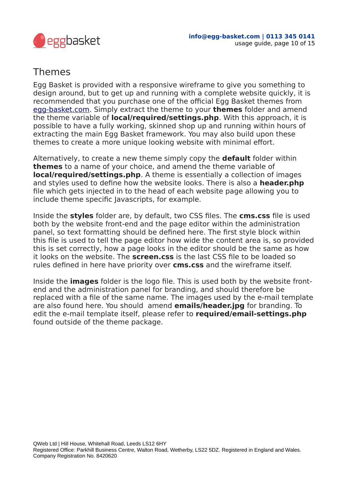

### <span id="page-9-0"></span>Themes

Egg Basket is provided with a responsive wireframe to give you something to design around, but to get up and running with a complete website quickly, it is recommended that you purchase one of the official Egg Basket themes from [egg-basket.com.](http://www.egg-basket.com/) Simply extract the theme to your **themes** folder and amend the theme variable of **local/required/settings.php**. With this approach, it is possible to have a fully working, skinned shop up and running within hours of extracting the main Egg Basket framework. You may also build upon these themes to create a more unique looking website with minimal effort.

Alternatively, to create a new theme simply copy the **default** folder within **themes** to a name of your choice, and amend the theme variable of **local/required/settings.php**. A theme is essentially a collection of images and styles used to define how the website looks. There is also a **header.php** file which gets injected in to the head of each website page allowing you to include theme specific Javascripts, for example.

Inside the **styles** folder are, by default, two CSS files. The **cms.css** file is used both by the website front-end and the page editor within the administration panel, so text formatting should be defined here. The first style block within this file is used to tell the page editor how wide the content area is, so provided this is set correctly, how a page looks in the editor should be the same as how it looks on the website. The **screen.css** is the last CSS file to be loaded so rules defined in here have priority over **cms.css** and the wireframe itself.

Inside the **images** folder is the logo file. This is used both by the website frontend and the administration panel for branding, and should therefore be replaced with a file of the same name. The images used by the e-mail template are also found here. You should amend **emails/header.jpg** for branding. To edit the e-mail template itself, please refer to **required/email-settings.php** found outside of the theme package.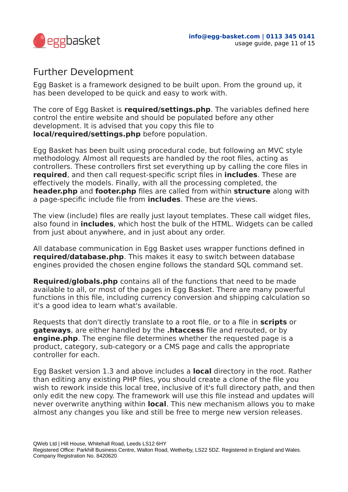

### <span id="page-10-0"></span>Further Development

Egg Basket is a framework designed to be built upon. From the ground up, it has been developed to be quick and easy to work with.

The core of Egg Basket is **required/settings.php**. The variables defined here control the entire website and should be populated before any other development. It is advised that you copy this file to **local/required/settings.php** before population.

Egg Basket has been built using procedural code, but following an MVC style methodology. Almost all requests are handled by the root files, acting as controllers. These controllers first set everything up by calling the core files in **required**, and then call request-specific script files in **includes**. These are effectively the models. Finally, with all the processing completed, the **header.php** and **footer.php** files are called from within **structure** along with a page-specific include file from **includes**. These are the views.

The view (include) files are really just layout templates. These call widget files, also found in **includes**, which host the bulk of the HTML. Widgets can be called from just about anywhere, and in just about any order.

All database communication in Egg Basket uses wrapper functions defined in **required/database.php**. This makes it easy to switch between database engines provided the chosen engine follows the standard SQL command set.

**Required/globals.php** contains all of the functions that need to be made available to all, or most of the pages in Egg Basket. There are many powerful functions in this file, including currency conversion and shipping calculation so it's a good idea to learn what's available.

Requests that don't directly translate to a root file, or to a file in **scripts** or **gateways**, are either handled by the **.htaccess** file and rerouted, or by **engine.php**. The engine file determines whether the requested page is a product, category, sub-category or a CMS page and calls the appropriate controller for each.

Egg Basket version 1.3 and above includes a **local** directory in the root. Rather than editing any existing PHP files, you should create a clone of the file you wish to rework inside this local tree, inclusive of it's full directory path, and then only edit the new copy. The framework will use this file instead and updates will never overwrite anything within **local**. This new mechanism allows you to make almost any changes you like and still be free to merge new version releases.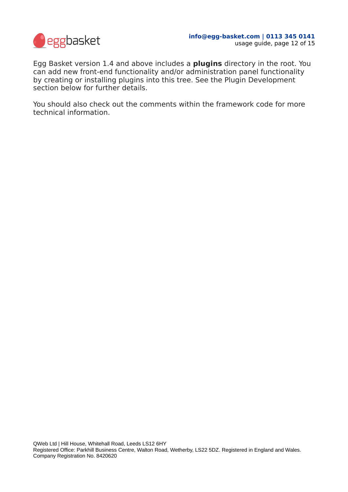

Egg Basket version 1.4 and above includes a **plugins** directory in the root. You can add new front-end functionality and/or administration panel functionality by creating or installing plugins into this tree. See the Plugin Development section below for further details.

You should also check out the comments within the framework code for more technical information.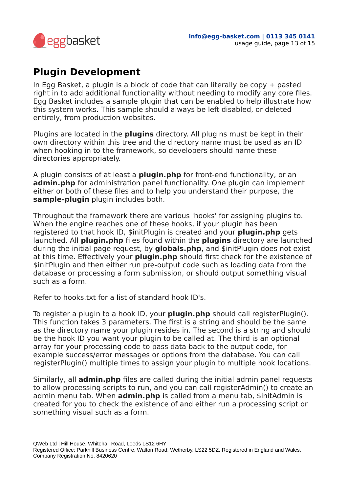

# <span id="page-12-0"></span>**Plugin Development**

In Egg Basket, a plugin is a block of code that can literally be copy  $+$  pasted right in to add additional functionality without needing to modify any core files. Egg Basket includes a sample plugin that can be enabled to help illustrate how this system works. This sample should always be left disabled, or deleted entirely, from production websites.

Plugins are located in the **plugins** directory. All plugins must be kept in their own directory within this tree and the directory name must be used as an ID when hooking in to the framework, so developers should name these directories appropriately.

A plugin consists of at least a **plugin.php** for front-end functionality, or an **admin.php** for administration panel functionality. One plugin can implement either or both of these files and to help you understand their purpose, the **sample-plugin** plugin includes both.

Throughout the framework there are various 'hooks' for assigning plugins to. When the engine reaches one of these hooks, if your plugin has been registered to that hook ID, \$initPlugin is created and your **plugin.php** gets launched. All **plugin.php** files found within the **plugins** directory are launched during the initial page request, by **globals.php**, and \$initPlugin does not exist at this time. Effectively your **plugin.php** should first check for the existence of \$initPlugin and then either run pre-output code such as loading data from the database or processing a form submission, or should output something visual such as a form.

Refer to hooks.txt for a list of standard hook ID's.

To register a plugin to a hook ID, your **plugin.php** should call registerPlugin(). This function takes 3 parameters. The first is a string and should be the same as the directory name your plugin resides in. The second is a string and should be the hook ID you want your plugin to be called at. The third is an optional array for your processing code to pass data back to the output code, for example success/error messages or options from the database. You can call registerPlugin() multiple times to assign your plugin to multiple hook locations.

Similarly, all **admin.php** files are called during the initial admin panel requests to allow processing scripts to run, and you can call registerAdmin() to create an admin menu tab. When **admin.php** is called from a menu tab, \$initAdmin is created for you to check the existence of and either run a processing script or something visual such as a form.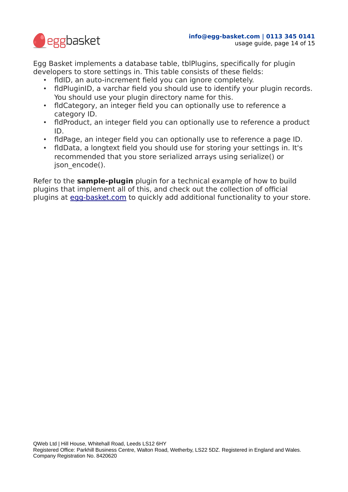

Egg Basket implements a database table, tblPlugins, specifically for plugin developers to store settings in. This table consists of these fields:

- fldID, an auto-increment field you can ignore completely.
- fldPluginID, a varchar field you should use to identify your plugin records. You should use your plugin directory name for this.
- fldCategory, an integer field you can optionally use to reference a category ID.
- fldProduct, an integer field you can optionally use to reference a product ID.
- fldPage, an integer field you can optionally use to reference a page ID.
- fldData, a longtext field you should use for storing your settings in. It's recommended that you store serialized arrays using serialize() or json\_encode().

Refer to the **sample-plugin** plugin for a technical example of how to build plugins that implement all of this, and check out the collection of official plugins at [egg-basket.com](http://www.egg-basket.com/) to quickly add additional functionality to your store.